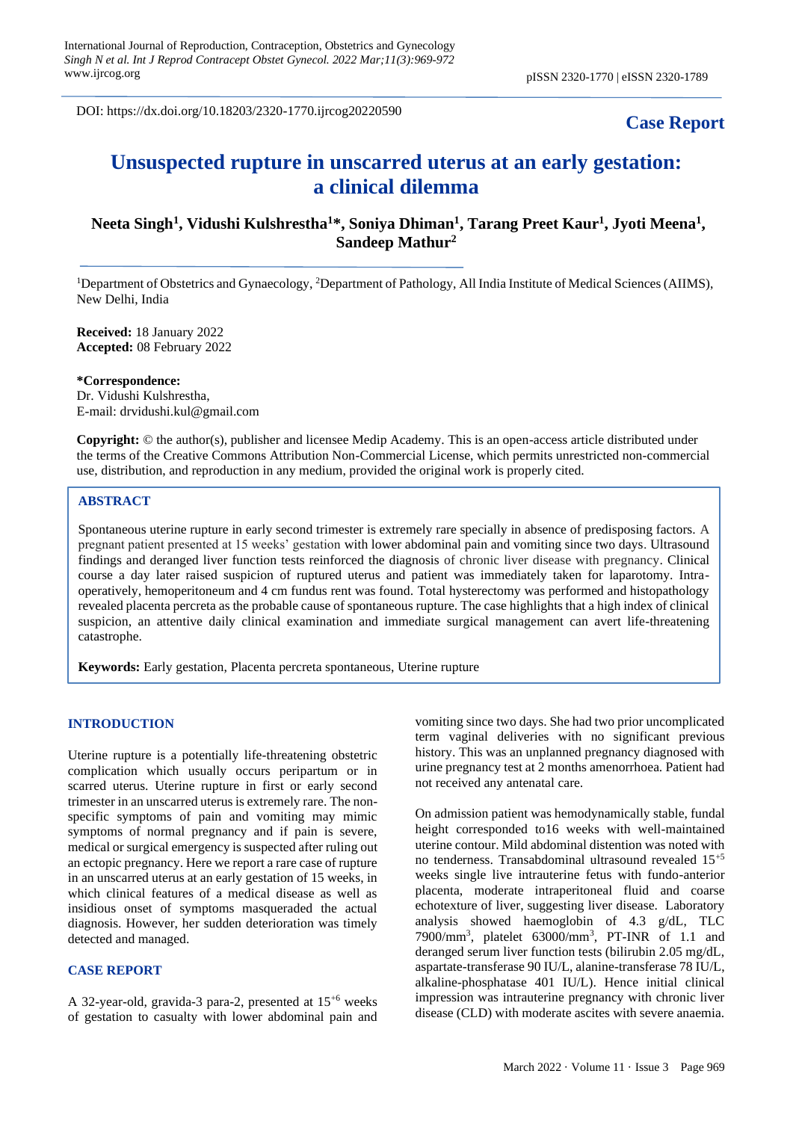DOI: https://dx.doi.org/10.18203/2320-1770.ijrcog20220590

# **Case Report**

# **Unsuspected rupture in unscarred uterus at an early gestation: a clinical dilemma**

# **Neeta Singh<sup>1</sup> , Vidushi Kulshrestha<sup>1</sup>\*, Soniya Dhiman<sup>1</sup> , Tarang Preet Kaur<sup>1</sup> , Jyoti Meena<sup>1</sup> , Sandeep Mathur<sup>2</sup>**

<sup>1</sup>Department of Obstetrics and Gynaecology, <sup>2</sup>Department of Pathology, All India Institute of Medical Sciences (AIIMS), New Delhi, India

**Received:** 18 January 2022 **Accepted:** 08 February 2022

**\*Correspondence:** Dr. Vidushi Kulshrestha, E-mail: drvidushi.kul@gmail.com

**Copyright:** © the author(s), publisher and licensee Medip Academy. This is an open-access article distributed under the terms of the Creative Commons Attribution Non-Commercial License, which permits unrestricted non-commercial use, distribution, and reproduction in any medium, provided the original work is properly cited.

## **ABSTRACT**

Spontaneous uterine rupture in early second trimester is extremely rare specially in absence of predisposing factors. A pregnant patient presented at 15 weeks' gestation with lower abdominal pain and vomiting since two days. Ultrasound findings and deranged liver function tests reinforced the diagnosis of chronic liver disease with pregnancy. Clinical course a day later raised suspicion of ruptured uterus and patient was immediately taken for laparotomy. Intraoperatively, hemoperitoneum and 4 cm fundus rent was found. Total hysterectomy was performed and histopathology revealed placenta percreta as the probable cause of spontaneous rupture. The case highlights that a high index of clinical suspicion, an attentive daily clinical examination and immediate surgical management can avert life-threatening catastrophe.

**Keywords:** Early gestation, Placenta percreta spontaneous, Uterine rupture

#### **INTRODUCTION**

Uterine rupture is a potentially life-threatening obstetric complication which usually occurs peripartum or in scarred uterus. Uterine rupture in first or early second trimester in an unscarred uterus is extremely rare. The nonspecific symptoms of pain and vomiting may mimic symptoms of normal pregnancy and if pain is severe, medical or surgical emergency is suspected after ruling out an ectopic pregnancy. Here we report a rare case of rupture in an unscarred uterus at an early gestation of 15 weeks, in which clinical features of a medical disease as well as insidious onset of symptoms masqueraded the actual diagnosis. However, her sudden deterioration was timely detected and managed.

#### **CASE REPORT**

A 32-year-old, gravida-3 para-2, presented at  $15^{+6}$  weeks of gestation to casualty with lower abdominal pain and vomiting since two days. She had two prior uncomplicated term vaginal deliveries with no significant previous history. This was an unplanned pregnancy diagnosed with urine pregnancy test at 2 months amenorrhoea. Patient had not received any antenatal care.

On admission patient was hemodynamically stable, fundal height corresponded to16 weeks with well-maintained uterine contour. Mild abdominal distention was noted with no tenderness. Transabdominal ultrasound revealed  $15^{+5}$ weeks single live intrauterine fetus with fundo-anterior placenta, moderate intraperitoneal fluid and coarse echotexture of liver, suggesting liver disease. Laboratory analysis showed haemoglobin of 4.3 g/dL, TLC 7900/mm<sup>3</sup> , platelet 63000/mm<sup>3</sup> , PT-INR of 1.1 and deranged serum liver function tests (bilirubin 2.05 mg/dL, aspartate-transferase 90 IU/L, alanine-transferase 78 IU/L, alkaline-phosphatase 401 IU/L). Hence initial clinical impression was intrauterine pregnancy with chronic liver disease (CLD) with moderate ascites with severe anaemia.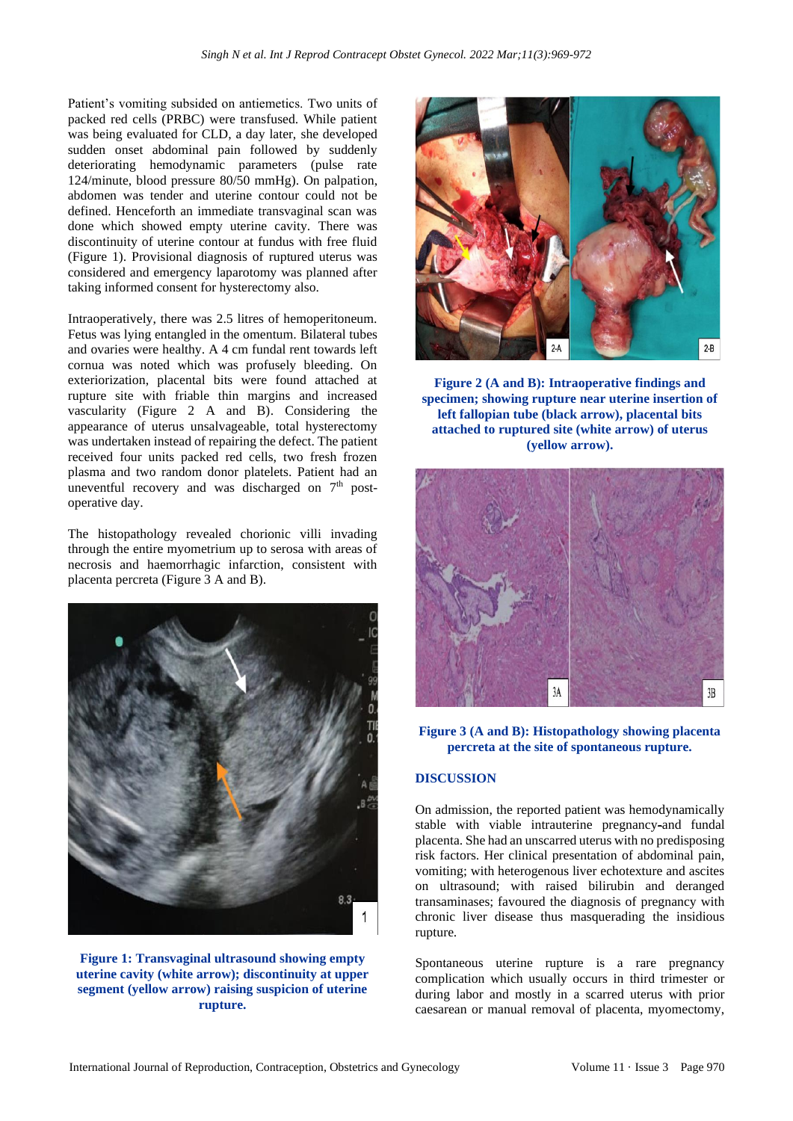Patient's vomiting subsided on antiemetics. Two units of packed red cells (PRBC) were transfused. While patient was being evaluated for CLD, a day later, she developed sudden onset abdominal pain followed by suddenly deteriorating hemodynamic parameters (pulse rate 124/minute, blood pressure 80/50 mmHg). On palpation, abdomen was tender and uterine contour could not be defined. Henceforth an immediate transvaginal scan was done which showed empty uterine cavity. There was discontinuity of uterine contour at fundus with free fluid (Figure 1). Provisional diagnosis of ruptured uterus was considered and emergency laparotomy was planned after taking informed consent for hysterectomy also.

Intraoperatively, there was 2.5 litres of hemoperitoneum. Fetus was lying entangled in the omentum. Bilateral tubes and ovaries were healthy. A 4 cm fundal rent towards left cornua was noted which was profusely bleeding. On exteriorization, placental bits were found attached at rupture site with friable thin margins and increased vascularity (Figure 2 A and B). Considering the appearance of uterus unsalvageable, total hysterectomy was undertaken instead of repairing the defect. The patient received four units packed red cells, two fresh frozen plasma and two random donor platelets. Patient had an uneventful recovery and was discharged on 7<sup>th</sup> postoperative day.

The histopathology revealed chorionic villi invading through the entire myometrium up to serosa with areas of necrosis and haemorrhagic infarction, consistent with placenta percreta (Figure 3 A and B).



**Figure 1: Transvaginal ultrasound showing empty uterine cavity (white arrow); discontinuity at upper segment (yellow arrow) raising suspicion of uterine rupture.**



**Figure 2 (A and B): Intraoperative findings and specimen; showing rupture near uterine insertion of left fallopian tube (black arrow), placental bits attached to ruptured site (white arrow) of uterus (yellow arrow).**



# **Figure 3 (A and B): Histopathology showing placenta percreta at the site of spontaneous rupture.**

# **DISCUSSION**

On admission, the reported patient was hemodynamically stable with viable intrauterine pregnancy-and fundal placenta. She had an unscarred uterus with no predisposing risk factors. Her clinical presentation of abdominal pain, vomiting; with heterogenous liver echotexture and ascites on ultrasound; with raised bilirubin and deranged transaminases; favoured the diagnosis of pregnancy with chronic liver disease thus masquerading the insidious rupture.

Spontaneous uterine rupture is a rare pregnancy complication which usually occurs in third trimester or during labor and mostly in a scarred uterus with prior caesarean or manual removal of placenta, myomectomy,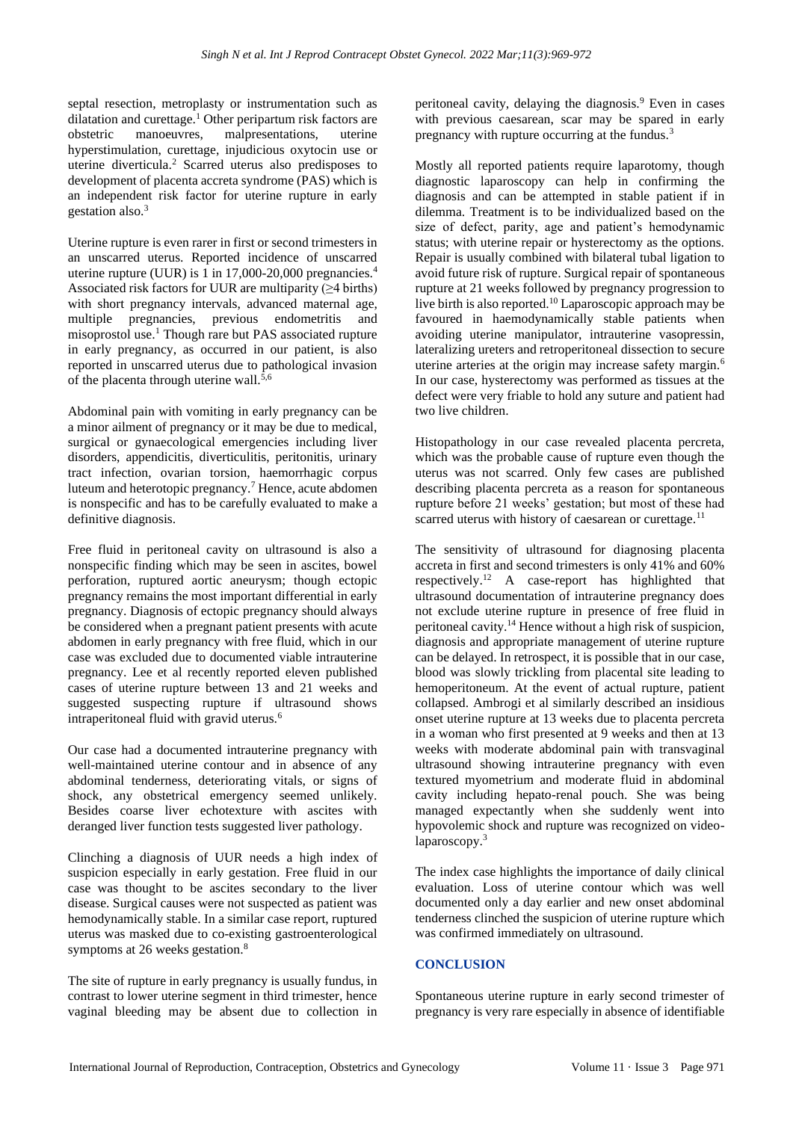septal resection, metroplasty or instrumentation such as dilatation and curettage.<sup>1</sup> Other peripartum risk factors are obstetric manoeuvres, malpresentations, uterine hyperstimulation, curettage, injudicious oxytocin use or uterine diverticula.<sup>2</sup> Scarred uterus also predisposes to development of placenta accreta syndrome (PAS) which is an independent risk factor for uterine rupture in early gestation also.<sup>3</sup>

Uterine rupture is even rarer in first or second trimesters in an unscarred uterus. Reported incidence of unscarred uterine rupture (UUR) is 1 in 17,000-20,000 pregnancies.<sup>4</sup> Associated risk factors for UUR are multiparity (≥4 births) with short pregnancy intervals, advanced maternal age, multiple pregnancies, previous endometritis and misoprostol use.<sup>1</sup> Though rare but PAS associated rupture in early pregnancy, as occurred in our patient, is also reported in unscarred uterus due to pathological invasion of the placenta through uterine wall.<sup>5,6</sup>

Abdominal pain with vomiting in early pregnancy can be a minor ailment of pregnancy or it may be due to medical, surgical or gynaecological emergencies including liver disorders, appendicitis, diverticulitis, peritonitis, urinary tract infection, ovarian torsion, haemorrhagic corpus luteum and heterotopic pregnancy.<sup>7</sup> Hence, acute abdomen is nonspecific and has to be carefully evaluated to make a definitive diagnosis.

Free fluid in peritoneal cavity on ultrasound is also a nonspecific finding which may be seen in ascites, bowel perforation, ruptured aortic aneurysm; though ectopic pregnancy remains the most important differential in early pregnancy. Diagnosis of ectopic pregnancy should always be considered when a pregnant patient presents with acute abdomen in early pregnancy with free fluid, which in our case was excluded due to documented viable intrauterine pregnancy. Lee et al recently reported eleven published cases of uterine rupture between 13 and 21 weeks and suggested suspecting rupture if ultrasound shows intraperitoneal fluid with gravid uterus.<sup>6</sup>

Our case had a documented intrauterine pregnancy with well-maintained uterine contour and in absence of any abdominal tenderness, deteriorating vitals, or signs of shock, any obstetrical emergency seemed unlikely. Besides coarse liver echotexture with ascites with deranged liver function tests suggested liver pathology.

Clinching a diagnosis of UUR needs a high index of suspicion especially in early gestation. Free fluid in our case was thought to be ascites secondary to the liver disease. Surgical causes were not suspected as patient was hemodynamically stable. In a similar case report, ruptured uterus was masked due to co-existing gastroenterological symptoms at 26 weeks gestation.<sup>8</sup>

The site of rupture in early pregnancy is usually fundus, in contrast to lower uterine segment in third trimester, hence vaginal bleeding may be absent due to collection in peritoneal cavity, delaying the diagnosis.<sup>9</sup> Even in cases with previous caesarean, scar may be spared in early pregnancy with rupture occurring at the fundus.<sup>3</sup>

Mostly all reported patients require laparotomy, though diagnostic laparoscopy can help in confirming the diagnosis and can be attempted in stable patient if in dilemma. Treatment is to be individualized based on the size of defect, parity, age and patient's hemodynamic status; with uterine repair or hysterectomy as the options. Repair is usually combined with bilateral tubal ligation to avoid future risk of rupture. Surgical repair of spontaneous rupture at 21 weeks followed by pregnancy progression to live birth is also reported.<sup>10</sup> Laparoscopic approach may be favoured in haemodynamically stable patients when avoiding uterine manipulator, intrauterine vasopressin, lateralizing ureters and retroperitoneal dissection to secure uterine arteries at the origin may increase safety margin.<sup>6</sup> In our case, hysterectomy was performed as tissues at the defect were very friable to hold any suture and patient had two live children.

Histopathology in our case revealed placenta percreta, which was the probable cause of rupture even though the uterus was not scarred. Only few cases are published describing placenta percreta as a reason for spontaneous rupture before 21 weeks' gestation; but most of these had scarred uterus with history of caesarean or curettage.<sup>11</sup>

The sensitivity of ultrasound for diagnosing placenta accreta in first and second trimesters is only 41% and 60% respectively.<sup>12</sup> A case-report has highlighted that ultrasound documentation of intrauterine pregnancy does not exclude uterine rupture in presence of free fluid in peritoneal cavity.<sup>14</sup> Hence without a high risk of suspicion, diagnosis and appropriate management of uterine rupture can be delayed. In retrospect, it is possible that in our case, blood was slowly trickling from placental site leading to hemoperitoneum. At the event of actual rupture, patient collapsed. Ambrogi et al similarly described an insidious onset uterine rupture at 13 weeks due to placenta percreta in a woman who first presented at 9 weeks and then at 13 weeks with moderate abdominal pain with transvaginal ultrasound showing intrauterine pregnancy with even textured myometrium and moderate fluid in abdominal cavity including hepato-renal pouch. She was being managed expectantly when she suddenly went into hypovolemic shock and rupture was recognized on videolaparoscopy.<sup>3</sup>

The index case highlights the importance of daily clinical evaluation. Loss of uterine contour which was well documented only a day earlier and new onset abdominal tenderness clinched the suspicion of uterine rupture which was confirmed immediately on ultrasound.

## **CONCLUSION**

Spontaneous uterine rupture in early second trimester of pregnancy is very rare especially in absence of identifiable